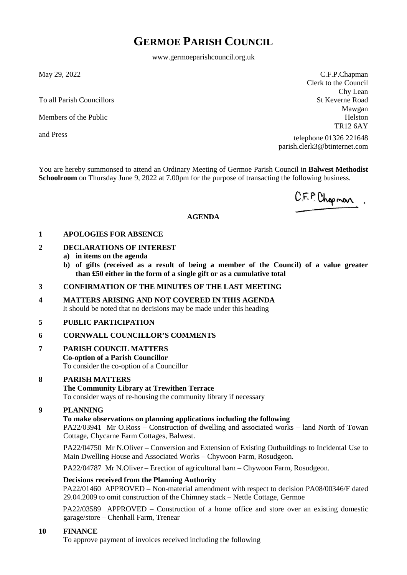# **GERMOE PARISH COUNCIL**

www.germoeparishcouncil.org.uk

May 29, 2022

To all Parish Councillors

Members of the Public

and Press

C.F.P.Chapman Clerk to the Council Chy Lean St Keverne Road Mawgan Helston TR12 6AY

telephone 01326 221648 parish.clerk3@btinternet.com

You are hereby summonsed to attend an Ordinary Meeting of Germoe Parish Council in **Balwest Methodist Schoolroom** on Thursday June 9, 2022 at 7.00pm for the purpose of transacting the following business.

C.F.P. Chopman.

#### **AGENDA**

#### **1 APOLOGIES FOR ABSENCE**

### **2 DECLARATIONS OF INTEREST**

- **a) in items on the agenda**
- **b) of gifts (received as a result of being a member of the Council) of a value greater than £50 either in the form of a single gift or as a cumulative total**

#### **3 CONFIRMATION OF THE MINUTES OF THE LAST MEETING**

**4 MATTERS ARISING AND NOT COVERED IN THIS AGENDA** It should be noted that no decisions may be made under this heading

#### **5 PUBLIC PARTICIPATION**

## **6 CORNWALL COUNCILLOR'S COMMENTS**

## **7 PARISH COUNCIL MATTERS**

**Co-option of a Parish Councillor** To consider the co-option of a Councillor

## **8 PARISH MATTERS**

## **The Community Library at Trewithen Terrace**

To consider ways of re-housing the community library if necessary

### **9 PLANNING**

## **To make observations on planning applications including the following**

PA22/03941 Mr O.Ross – Construction of dwelling and associated works – land North of Towan Cottage, Chycarne Farm Cottages, Balwest.

PA22/04750 Mr N.Oliver – Conversion and Extension of Existing Outbuildings to Incidental Use to Main Dwelling House and Associated Works – Chywoon Farm, Rosudgeon.

PA22/04787 Mr N.Oliver – Erection of agricultural barn – Chywoon Farm, Rosudgeon.

#### **Decisions received from the Planning Authority**

PA22/01460 APPROVED – Non-material amendment with respect to decision PA08/00346/F dated 29.04.2009 to omit construction of the Chimney stack – Nettle Cottage, Germoe

PA22/03589 APPROVED – Construction of a home office and store over an existing domestic garage/store – Chenhall Farm, Trenear

## **10 FINANCE**

To approve payment of invoices received including the following